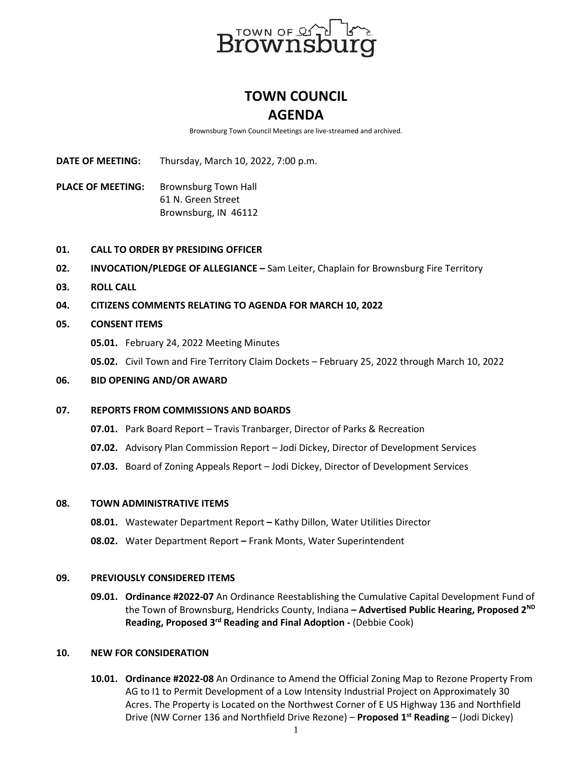

# **TOWN COUNCIL AGENDA**

Brownsburg Town Council Meetings are live-streamed and archived.

**DATE OF MEETING:** Thursday, March 10, 2022, 7:00 p.m.

PLACE OF MEETING: Brownsburg Town Hall 61 N. Green Street Brownsburg, IN 46112

# **01. CALL TO ORDER BY PRESIDING OFFICER**

- **02. INVOCATION/PLEDGE OF ALLEGIANCE –** Sam Leiter, Chaplain for Brownsburg Fire Territory
- **03. ROLL CALL**
- **04. CITIZENS COMMENTS RELATING TO AGENDA FOR MARCH 10, 2022**

# **05. CONSENT ITEMS**

**05.01.** February 24, 2022 Meeting Minutes

**05.02.** Civil Town and Fire Territory Claim Dockets – February 25, 2022 through March 10, 2022

## **06. BID OPENING AND/OR AWARD**

#### **07. REPORTS FROM COMMISSIONS AND BOARDS**

- **07.01.** Park Board Report Travis Tranbarger, Director of Parks & Recreation
- **07.02.** Advisory Plan Commission Report Jodi Dickey, Director of Development Services
- **07.03.** Board of Zoning Appeals Report Jodi Dickey, Director of Development Services

#### **08. TOWN ADMINISTRATIVE ITEMS**

- **08.01.** Wastewater Department Report **–** Kathy Dillon, Water Utilities Director
- **08.02.** Water Department Report **–** Frank Monts, Water Superintendent

#### **09. PREVIOUSLY CONSIDERED ITEMS**

**09.01. Ordinance #2022-07** An Ordinance Reestablishing the Cumulative Capital Development Fund of the Town of Brownsburg, Hendricks County, Indiana **– Advertised Public Hearing, Proposed 2ND Reading, Proposed 3rd Reading and Final Adoption -** (Debbie Cook)

## **10. NEW FOR CONSIDERATION**

**10.01. Ordinance #2022-08** An Ordinance to Amend the Official Zoning Map to Rezone Property From AG to I1 to Permit Development of a Low Intensity Industrial Project on Approximately 30 Acres. The Property is Located on the Northwest Corner of E US Highway 136 and Northfield Drive (NW Corner 136 and Northfield Drive Rezone) – **Proposed 1st Reading** – (Jodi Dickey)